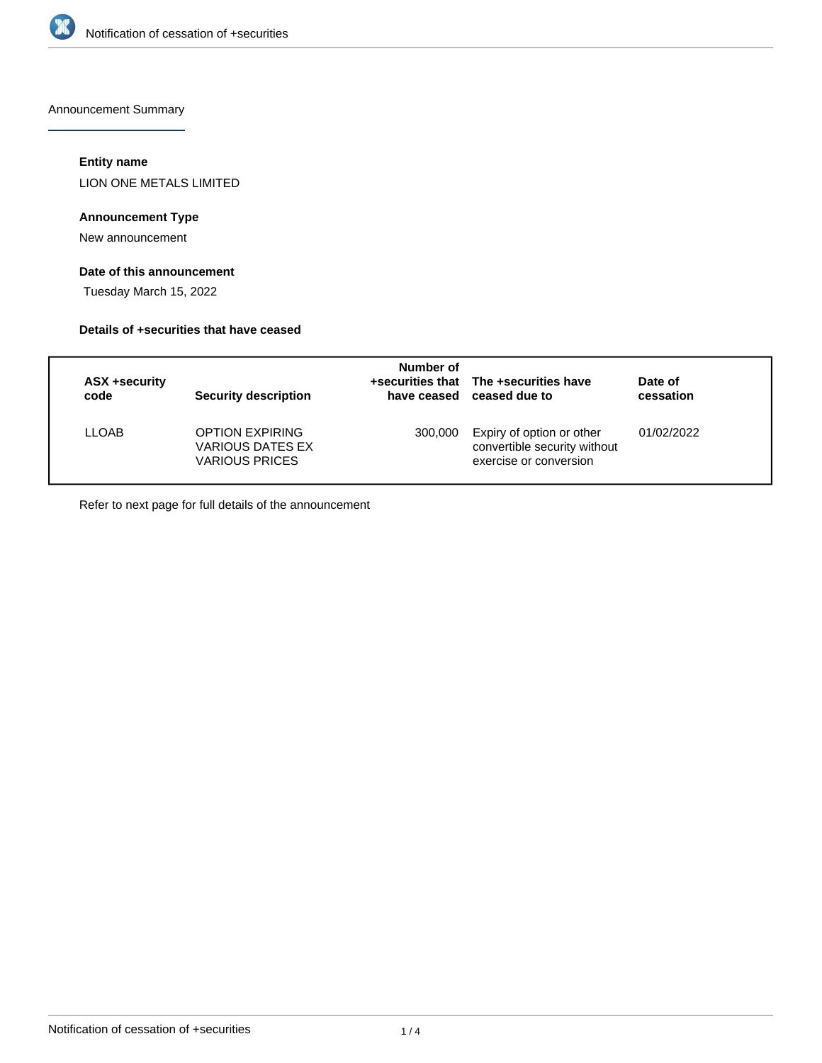

Announcement Summary

## **Entity name**

LION ONE METALS LIMITED

# **Announcement Type**

New announcement

# **Date of this announcement**

Tuesday March 15, 2022

## **Details of +securities that have ceased**

| ASX +security<br>code | Security description                                                | Number of | +securities that The +securities have<br>have ceased ceased due to                  | Date of<br>cessation |
|-----------------------|---------------------------------------------------------------------|-----------|-------------------------------------------------------------------------------------|----------------------|
| LLOAB                 | <b>OPTION EXPIRING</b><br>VARIOUS DATES EX<br><b>VARIOUS PRICES</b> | 300,000   | Expiry of option or other<br>convertible security without<br>exercise or conversion | 01/02/2022           |

Refer to next page for full details of the announcement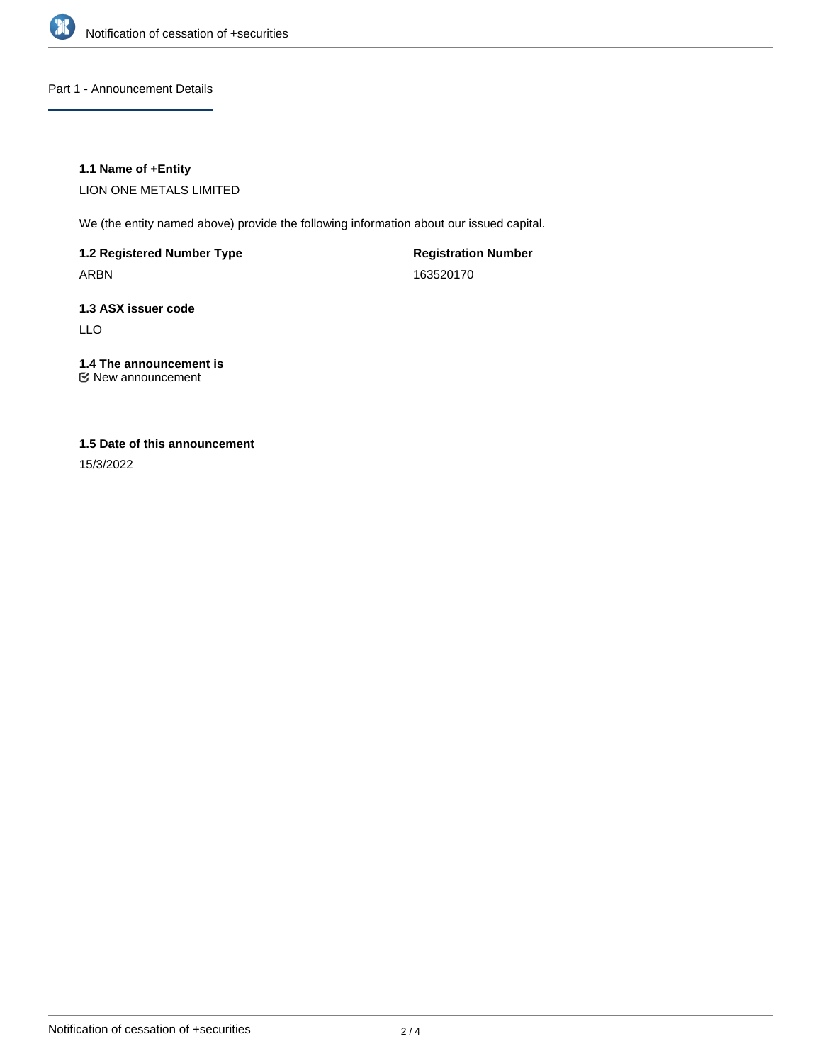

Part 1 - Announcement Details

# **1.1 Name of +Entity**

LION ONE METALS LIMITED

We (the entity named above) provide the following information about our issued capital.

**1.2 Registered Number Type** ARBN

**Registration Number** 163520170

# **1.3 ASX issuer code**

LLO

# **1.4 The announcement is**

New announcement

# **1.5 Date of this announcement**

15/3/2022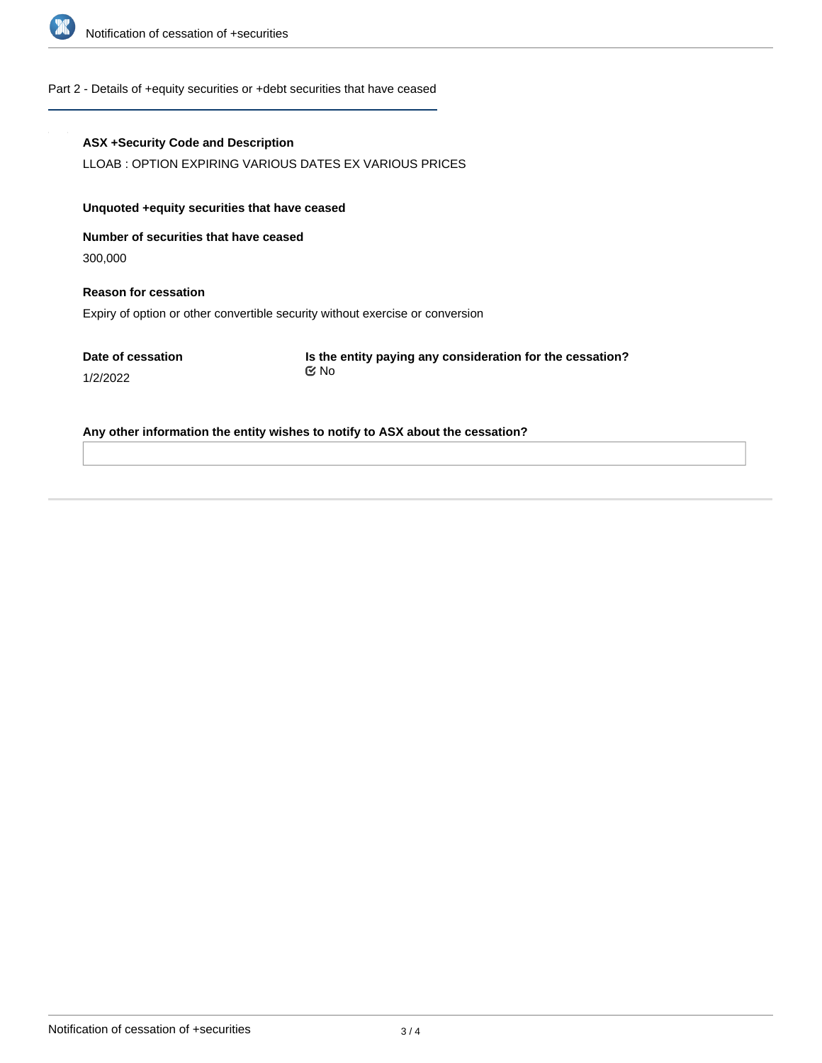

### Part 2 - Details of +equity securities or +debt securities that have ceased

### **ASX +Security Code and Description**

LLOAB : OPTION EXPIRING VARIOUS DATES EX VARIOUS PRICES

### **Unquoted +equity securities that have ceased**

**Number of securities that have ceased**

300,000

1/2/2022

**Reason for cessation** Expiry of option or other convertible security without exercise or conversion

**Date of cessation**

**Is the entity paying any consideration for the cessation?** No

**Any other information the entity wishes to notify to ASX about the cessation?**